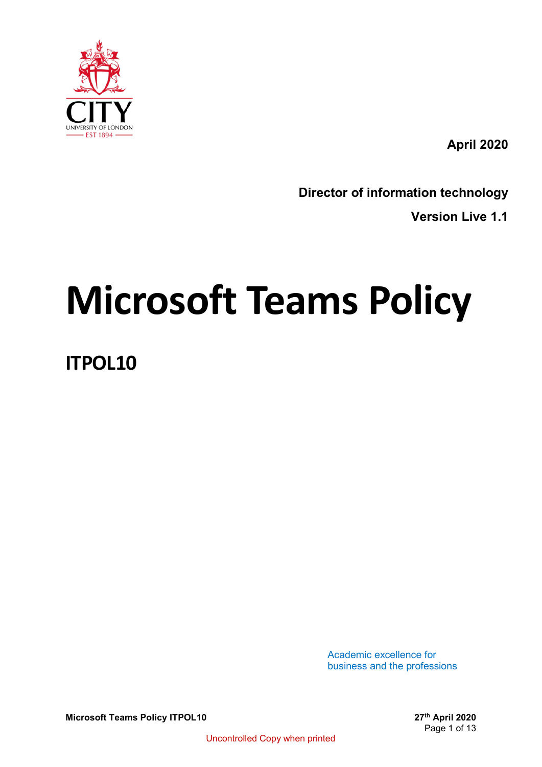

**April 2020**

**Director of information technology**

**Version Live 1.1**

# **Microsoft Teams Policy**

**ITPOL10**

Academic excellence for business and the professions

**Microsoft Teams Policy ITPOL10 27th 2020** 

Page 1 of 13

Uncontrolled Copy when printed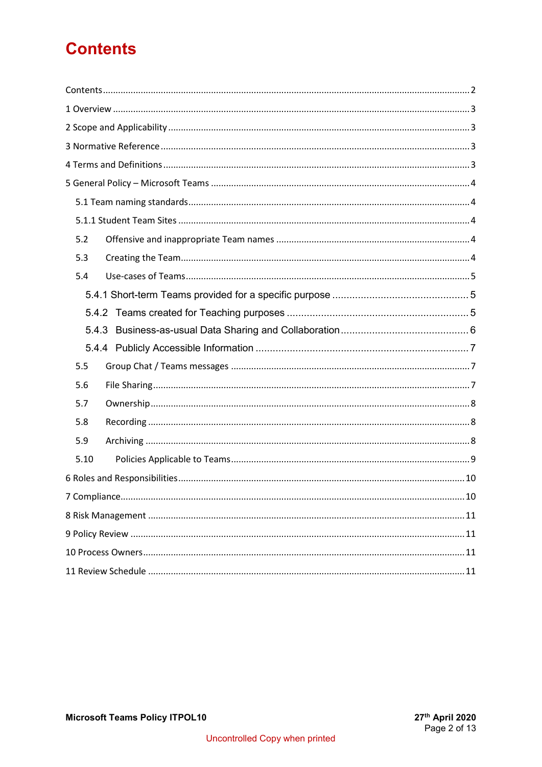# <span id="page-1-0"></span>**Contents**

| 5.2  |
|------|
| 5.3  |
| 5.4  |
|      |
|      |
|      |
|      |
| 5.5  |
| 5.6  |
| 5.7  |
| 5.8  |
| 5.9  |
| 5.10 |
|      |
|      |
|      |
|      |
|      |
|      |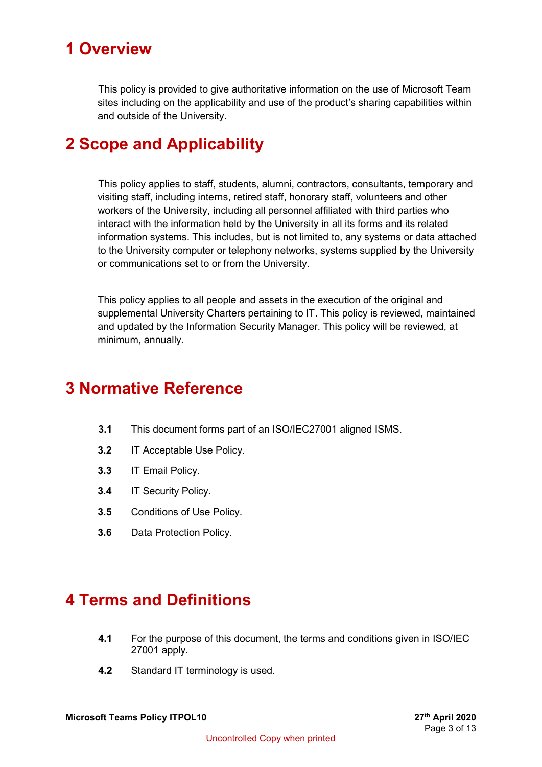# <span id="page-2-0"></span>**1 Overview**

This policy is provided to give authoritative information on the use of Microsoft Team sites including on the applicability and use of the product's sharing capabilities within and outside of the University.

# <span id="page-2-1"></span>**2 Scope and Applicability**

This policy applies to staff, students, alumni, contractors, consultants, temporary and visiting staff, including interns, retired staff, honorary staff, volunteers and other workers of the University, including all personnel affiliated with third parties who interact with the information held by the University in all its forms and its related information systems. This includes, but is not limited to, any systems or data attached to the University computer or telephony networks, systems supplied by the University or communications set to or from the University.

This policy applies to all people and assets in the execution of the original and supplemental University Charters pertaining to IT. This policy is reviewed, maintained and updated by the Information Security Manager. This policy will be reviewed, at minimum, annually.

## <span id="page-2-2"></span>**3 Normative Reference**

- **3.1** This document forms part of an ISO/IEC27001 aligned ISMS.
- **3.2** IT Acceptable Use Policy.
- **3.3** IT Email Policy.
- **3.4** IT Security Policy.
- **3.5** Conditions of Use Policy.
- **3.6** Data Protection Policy.

## <span id="page-2-3"></span>**4 Terms and Definitions**

- **4.1** For the purpose of this document, the terms and conditions given in ISO/IEC 27001 apply.
- **4.2** Standard IT terminology is used.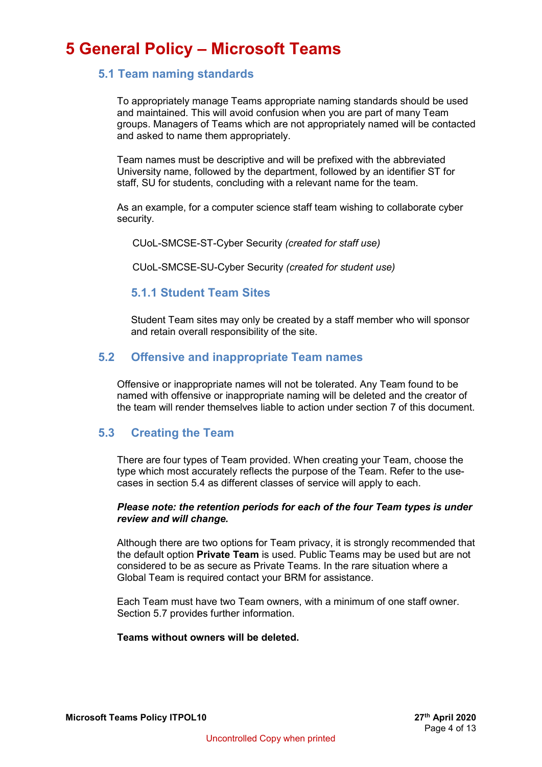## <span id="page-3-1"></span><span id="page-3-0"></span>**5 General Policy – Microsoft Teams**

#### **5.1 Team naming standards**

To appropriately manage Teams appropriate naming standards should be used and maintained. This will avoid confusion when you are part of many Team groups. Managers of Teams which are not appropriately named will be contacted and asked to name them appropriately.

Team names must be descriptive and will be prefixed with the abbreviated University name, followed by the department, followed by an identifier ST for staff, SU for students, concluding with a relevant name for the team.

As an example, for a computer science staff team wishing to collaborate cyber security.

CUoL-SMCSE-ST-Cyber Security *(created for staff use)*

CUoL-SMCSE-SU-Cyber Security *(created for student use)*

#### <span id="page-3-2"></span>**5.1.1 Student Team Sites**

Student Team sites may only be created by a staff member who will sponsor and retain overall responsibility of the site.

#### <span id="page-3-3"></span>**5.2 Offensive and inappropriate Team names**

Offensive or inappropriate names will not be tolerated. Any Team found to be named with offensive or inappropriate naming will be deleted and the creator of the team will render themselves liable to action under section 7 of this document.

#### <span id="page-3-4"></span>**5.3 Creating the Team**

There are four types of Team provided. When creating your Team, choose the type which most accurately reflects the purpose of the Team. Refer to the usecases in section 5.4 as different classes of service will apply to each.

#### *Please note: the retention periods for each of the four Team types is under review and will change.*

Although there are two options for Team privacy, it is strongly recommended that the default option **Private Team** is used. Public Teams may be used but are not considered to be as secure as Private Teams. In the rare situation where a Global Team is required contact your BRM for assistance.

Each Team must have two Team owners, with a minimum of one staff owner. Section 5.7 provides further information.

#### **Teams without owners will be deleted.**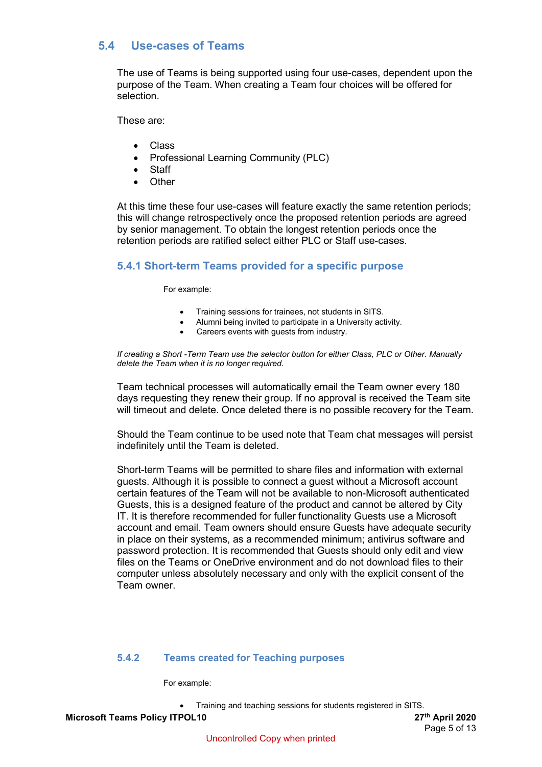## <span id="page-4-0"></span>**5.4 Use-cases of Teams**

The use of Teams is being supported using four use-cases, dependent upon the purpose of the Team. When creating a Team four choices will be offered for selection.

These are:

- Class
- Professional Learning Community (PLC)
- Staff
- Other

At this time these four use-cases will feature exactly the same retention periods; this will change retrospectively once the proposed retention periods are agreed by senior management. To obtain the longest retention periods once the retention periods are ratified select either PLC or Staff use-cases.

#### <span id="page-4-1"></span>**5.4.1 Short-term Teams provided for a specific purpose**

For example:

- Training sessions for trainees, not students in SITS.
- Alumni being invited to participate in a University activity.
	- Careers events with guests from industry.

*If creating a Short -Term Team use the selector button for either Class, PLC or Other. Manually delete the Team when it is no longer required.*

Team technical processes will automatically email the Team owner every 180 days requesting they renew their group. If no approval is received the Team site will timeout and delete. Once deleted there is no possible recovery for the Team.

Should the Team continue to be used note that Team chat messages will persist indefinitely until the Team is deleted.

Short-term Teams will be permitted to share files and information with external guests. Although it is possible to connect a guest without a Microsoft account certain features of the Team will not be available to non-Microsoft authenticated Guests, this is a designed feature of the product and cannot be altered by City IT. It is therefore recommended for fuller functionality Guests use a Microsoft account and email. Team owners should ensure Guests have adequate security in place on their systems, as a recommended minimum; antivirus software and password protection. It is recommended that Guests should only edit and view files on the Teams or OneDrive environment and do not download files to their computer unless absolutely necessary and only with the explicit consent of the Team owner.

#### <span id="page-4-2"></span>**5.4.2 Teams created for Teaching purposes**

For example:

• Training and teaching sessions for students registered in SITS.

**Microsoft Teams Policy ITPOL10 27th 2020**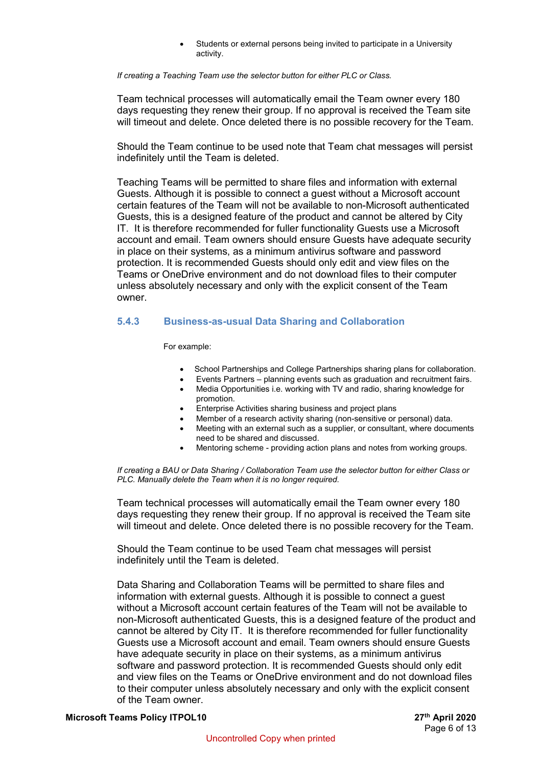Students or external persons being invited to participate in a University activity.

#### *If creating a Teaching Team use the selector button for either PLC or Class.*

Team technical processes will automatically email the Team owner every 180 days requesting they renew their group. If no approval is received the Team site will timeout and delete. Once deleted there is no possible recovery for the Team.

Should the Team continue to be used note that Team chat messages will persist indefinitely until the Team is deleted.

Teaching Teams will be permitted to share files and information with external Guests. Although it is possible to connect a guest without a Microsoft account certain features of the Team will not be available to non-Microsoft authenticated Guests, this is a designed feature of the product and cannot be altered by City IT. It is therefore recommended for fuller functionality Guests use a Microsoft account and email. Team owners should ensure Guests have adequate security in place on their systems, as a minimum antivirus software and password protection. It is recommended Guests should only edit and view files on the Teams or OneDrive environment and do not download files to their computer unless absolutely necessary and only with the explicit consent of the Team owner.

#### <span id="page-5-0"></span>**5.4.3 Business-as-usual Data Sharing and Collaboration**

For example:

- School Partnerships and College Partnerships sharing plans for collaboration.
- Events Partners planning events such as graduation and recruitment fairs.
- Media Opportunities i.e. working with TV and radio, sharing knowledge for promotion.
- Enterprise Activities sharing business and project plans
- Member of a research activity sharing (non-sensitive or personal) data.
- Meeting with an external such as a supplier, or consultant, where documents need to be shared and discussed.
- Mentoring scheme providing action plans and notes from working groups.

*If creating a BAU or Data Sharing / Collaboration Team use the selector button for either Class or PLC. Manually delete the Team when it is no longer required.*

Team technical processes will automatically email the Team owner every 180 days requesting they renew their group. If no approval is received the Team site will timeout and delete. Once deleted there is no possible recovery for the Team.

Should the Team continue to be used Team chat messages will persist indefinitely until the Team is deleted.

Data Sharing and Collaboration Teams will be permitted to share files and information with external guests. Although it is possible to connect a guest without a Microsoft account certain features of the Team will not be available to non-Microsoft authenticated Guests, this is a designed feature of the product and cannot be altered by City IT. It is therefore recommended for fuller functionality Guests use a Microsoft account and email. Team owners should ensure Guests have adequate security in place on their systems, as a minimum antivirus software and password protection. It is recommended Guests should only edit and view files on the Teams or OneDrive environment and do not download files to their computer unless absolutely necessary and only with the explicit consent of the Team owner.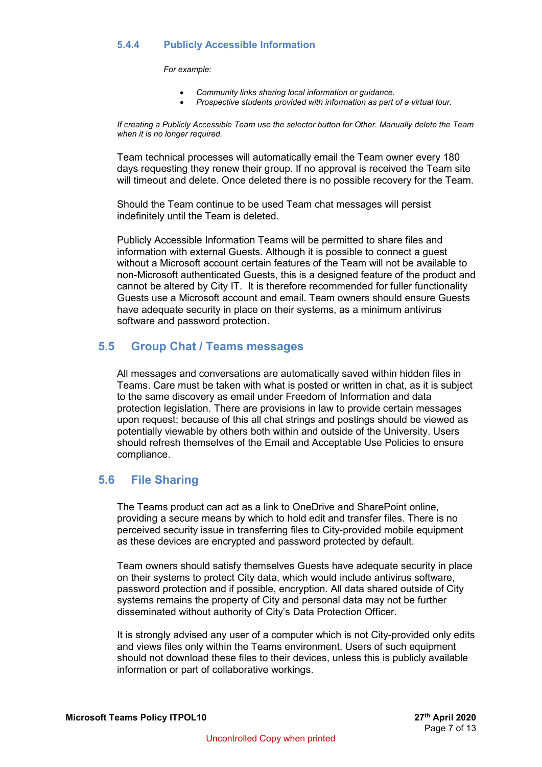#### <span id="page-6-0"></span>**5.4.4 Publicly Accessible Information**

*For example:*

- *Community links sharing local information or guidance.*
- *Prospective students provided with information as part of a virtual tour.*

*If creating a Publicly Accessible Team use the selector button for Other. Manually delete the Team when it is no longer required.*

Team technical processes will automatically email the Team owner every 180 days requesting they renew their group. If no approval is received the Team site will timeout and delete. Once deleted there is no possible recovery for the Team.

Should the Team continue to be used Team chat messages will persist indefinitely until the Team is deleted.

Publicly Accessible Information Teams will be permitted to share files and information with external Guests. Although it is possible to connect a guest without a Microsoft account certain features of the Team will not be available to non-Microsoft authenticated Guests, this is a designed feature of the product and cannot be altered by City IT. It is therefore recommended for fuller functionality Guests use a Microsoft account and email. Team owners should ensure Guests have adequate security in place on their systems, as a minimum antivirus software and password protection.

#### <span id="page-6-1"></span>**5.5 Group Chat / Teams messages**

All messages and conversations are automatically saved within hidden files in Teams. Care must be taken with what is posted or written in chat, as it is subject to the same discovery as email under Freedom of Information and data protection legislation. There are provisions in law to provide certain messages upon request; because of this all chat strings and postings should be viewed as potentially viewable by others both within and outside of the University. Users should refresh themselves of the Email and Acceptable Use Policies to ensure compliance.

#### <span id="page-6-2"></span>**5.6 File Sharing**

The Teams product can act as a link to OneDrive and SharePoint online, providing a secure means by which to hold edit and transfer files. There is no perceived security issue in transferring files to City-provided mobile equipment as these devices are encrypted and password protected by default.

Team owners should satisfy themselves Guests have adequate security in place on their systems to protect City data, which would include antivirus software, password protection and if possible, encryption. All data shared outside of City systems remains the property of City and personal data may not be further disseminated without authority of City's Data Protection Officer.

It is strongly advised any user of a computer which is not City-provided only edits and views files only within the Teams environment. Users of such equipment should not download these files to their devices, unless this is publicly available information or part of collaborative workings.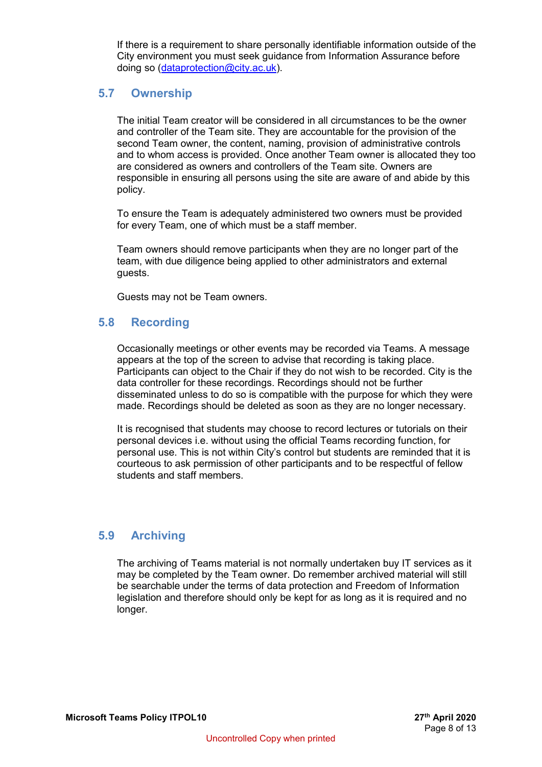If there is a requirement to share personally identifiable information outside of the City environment you must seek guidance from Information Assurance before doing so [\(dataprotection@city.ac.uk\)](mailto:dataprotection@city.ac.uk).

#### <span id="page-7-0"></span>**5.7 Ownership**

The initial Team creator will be considered in all circumstances to be the owner and controller of the Team site. They are accountable for the provision of the second Team owner, the content, naming, provision of administrative controls and to whom access is provided. Once another Team owner is allocated they too are considered as owners and controllers of the Team site. Owners are responsible in ensuring all persons using the site are aware of and abide by this policy.

To ensure the Team is adequately administered two owners must be provided for every Team, one of which must be a staff member.

Team owners should remove participants when they are no longer part of the team, with due diligence being applied to other administrators and external guests.

Guests may not be Team owners.

## <span id="page-7-1"></span>**5.8 Recording**

Occasionally meetings or other events may be recorded via Teams. A message appears at the top of the screen to advise that recording is taking place. Participants can object to the Chair if they do not wish to be recorded. City is the data controller for these recordings. Recordings should not be further disseminated unless to do so is compatible with the purpose for which they were made. Recordings should be deleted as soon as they are no longer necessary.

It is recognised that students may choose to record lectures or tutorials on their personal devices i.e. without using the official Teams recording function, for personal use. This is not within City's control but students are reminded that it is courteous to ask permission of other participants and to be respectful of fellow students and staff members.

## <span id="page-7-2"></span>**5.9 Archiving**

The archiving of Teams material is not normally undertaken buy IT services as it may be completed by the Team owner. Do remember archived material will still be searchable under the terms of data protection and Freedom of Information legislation and therefore should only be kept for as long as it is required and no longer.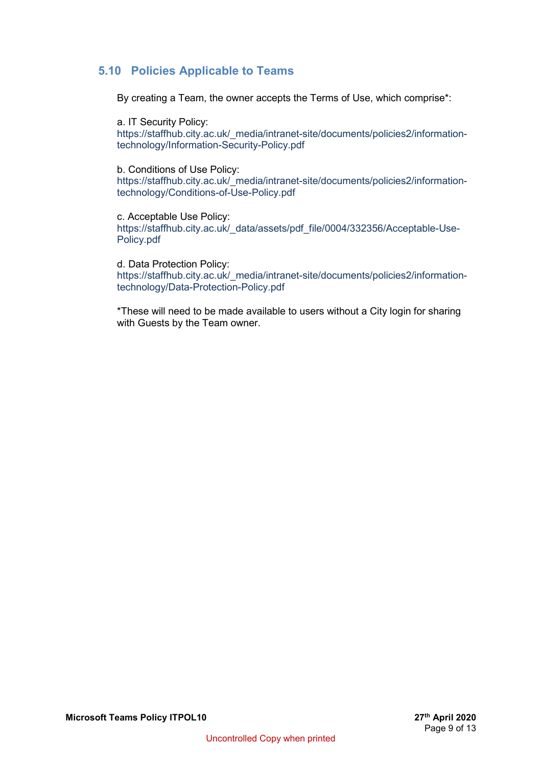## <span id="page-8-0"></span>**5.10 Policies Applicable to Teams**

By creating a Team, the owner accepts the Terms of Use, which comprise\*:

a. IT Security Policy: https://staffhub.city.ac.uk/\_media/intranet-site/documents/policies2/informationtechnology/Information-Security-Policy.pdf

b. Conditions of Use Policy: https://staffhub.city.ac.uk/ media/intranet-site/documents/policies2/informationtechnology/Conditions-of-Use-Policy.pdf

c. Acceptable Use Policy: https://staffhub.city.ac.uk/\_data/assets/pdf\_file/0004/332356/Acceptable-Use-Policy.pdf

d. Data Protection Policy: https://staffhub.city.ac.uk/\_media/intranet-site/documents/policies2/informationtechnology/Data-Protection-Policy.pdf

\*These will need to be made available to users without a City login for sharing with Guests by the Team owner.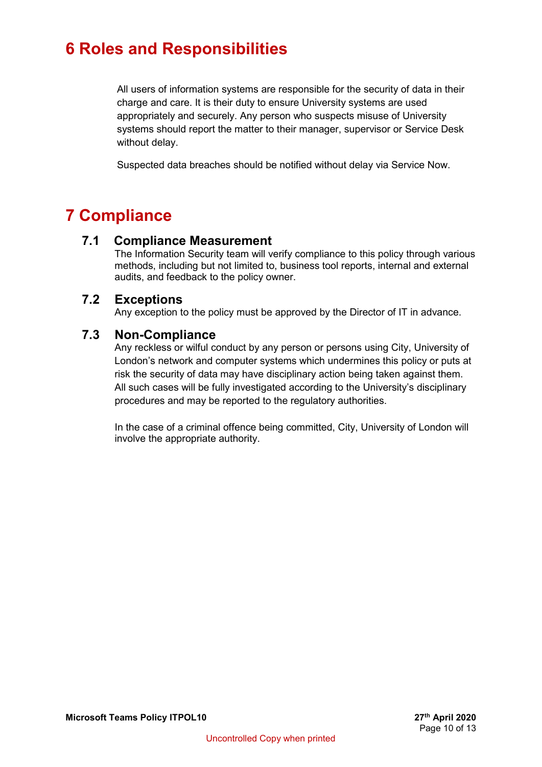# <span id="page-9-0"></span>**6 Roles and Responsibilities**

All users of information systems are responsible for the security of data in their charge and care. It is their duty to ensure University systems are used appropriately and securely. Any person who suspects misuse of University systems should report the matter to their manager, supervisor or Service Desk without delay.

Suspected data breaches should be notified without delay via Service Now.

## <span id="page-9-1"></span>**7 Compliance**

## **7.1 Compliance Measurement**

The Information Security team will verify compliance to this policy through various methods, including but not limited to, business tool reports, internal and external audits, and feedback to the policy owner.

## **7.2 Exceptions**

Any exception to the policy must be approved by the Director of IT in advance.

## **7.3 Non-Compliance**

Any reckless or wilful conduct by any person or persons using City, University of London's network and computer systems which undermines this policy or puts at risk the security of data may have disciplinary action being taken against them. All such cases will be fully investigated according to the University's disciplinary procedures and may be reported to the regulatory authorities.

In the case of a criminal offence being committed, City, University of London will involve the appropriate authority.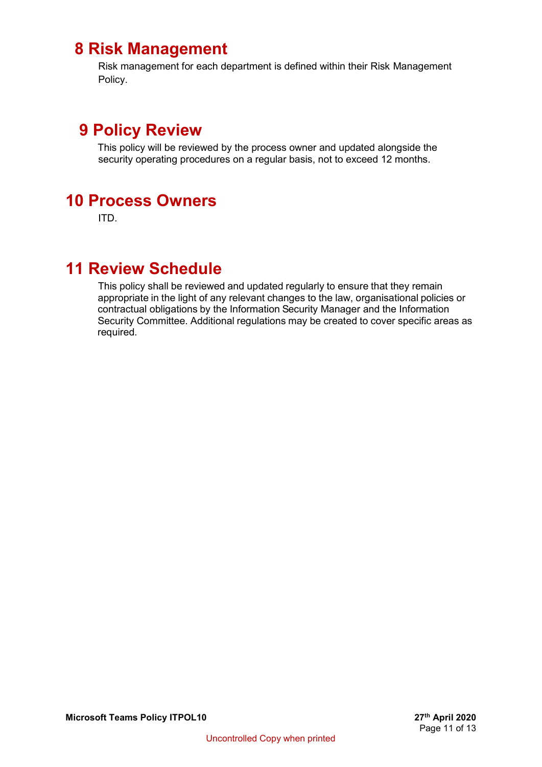## <span id="page-10-0"></span> **8 Risk Management**

Risk management for each department is defined within their Risk Management Policy.

## <span id="page-10-1"></span> **9 Policy Review**

This policy will be reviewed by the process owner and updated alongside the security operating procedures on a regular basis, not to exceed 12 months.

## <span id="page-10-2"></span>**10 Process Owners**

ITD.

## <span id="page-10-3"></span>**11 Review Schedule**

This policy shall be reviewed and updated regularly to ensure that they remain appropriate in the light of any relevant changes to the law, organisational policies or contractual obligations by the Information Security Manager and the Information Security Committee. Additional regulations may be created to cover specific areas as required.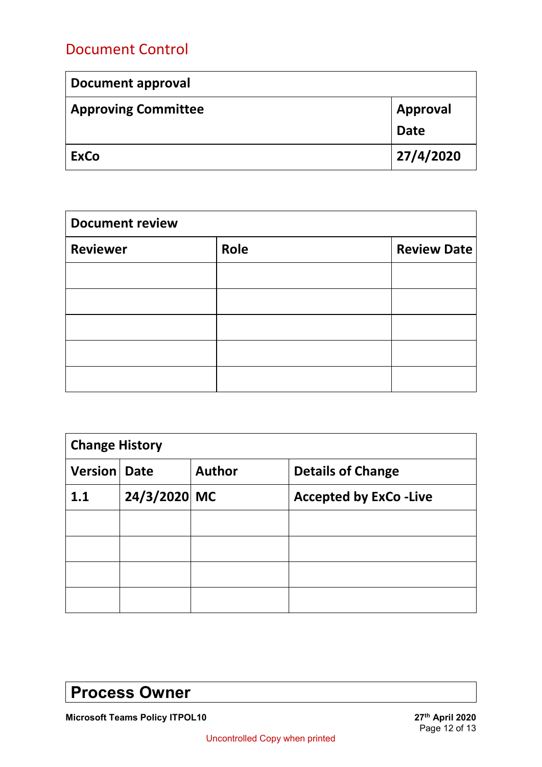## Document Control

| <b>Document approval</b>   |                 |  |
|----------------------------|-----------------|--|
| <b>Approving Committee</b> | <b>Approval</b> |  |
|                            | <b>Date</b>     |  |
| <b>ExCo</b>                | 27/4/2020       |  |

| <b>Document review</b> |      |                    |  |  |
|------------------------|------|--------------------|--|--|
| <b>Reviewer</b>        | Role | <b>Review Date</b> |  |  |
|                        |      |                    |  |  |
|                        |      |                    |  |  |
|                        |      |                    |  |  |
|                        |      |                    |  |  |
|                        |      |                    |  |  |

| <b>Change History</b> |              |               |                              |  |  |  |
|-----------------------|--------------|---------------|------------------------------|--|--|--|
| <b>Version Date</b>   |              | <b>Author</b> | <b>Details of Change</b>     |  |  |  |
| 1.1                   | 24/3/2020 MC |               | <b>Accepted by ExCo-Live</b> |  |  |  |
|                       |              |               |                              |  |  |  |
|                       |              |               |                              |  |  |  |
|                       |              |               |                              |  |  |  |
|                       |              |               |                              |  |  |  |

# **Process Owner**

**Microsoft Teams Policy ITPOL10**